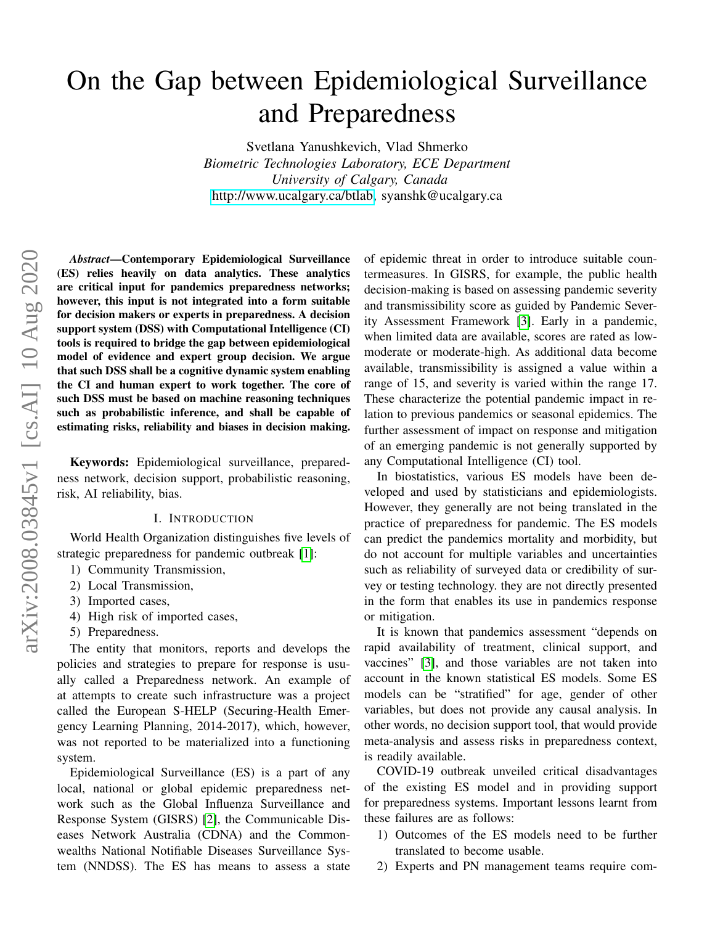# On the Gap between Epidemiological Surveillance and Preparedness

Svetlana Yanushkevich, Vlad Shmerko *Biometric Technologies Laboratory, ECE Department University of Calgary, Canada* [http://www.ucalgary.ca/btlab,](http://www.ucalgary.ca/btlab) syanshk@ucalgary.ca

*Abstract*—Contemporary Epidemiological Surveillance (ES) relies heavily on data analytics. These analytics are critical input for pandemics preparedness networks; however, this input is not integrated into a form suitable for decision makers or experts in preparedness. A decision support system (DSS) with Computational Intelligence (CI) tools is required to bridge the gap between epidemiological model of evidence and expert group decision. We argue that such DSS shall be a cognitive dynamic system enabling the CI and human expert to work together. The core of such DSS must be based on machine reasoning techniques such as probabilistic inference, and shall be capable of estimating risks, reliability and biases in decision making.

Keywords: Epidemiological surveillance, preparedness network, decision support, probabilistic reasoning, risk, AI reliability, bias.

## I. INTRODUCTION

World Health Organization distinguishes five levels of strategic preparedness for pandemic outbreak [\[1\]](#page-8-0):

- 1) Community Transmission,
- 2) Local Transmission,
- 3) Imported cases,
- 4) High risk of imported cases,
- 5) Preparedness.

The entity that monitors, reports and develops the policies and strategies to prepare for response is usually called a Preparedness network. An example of at attempts to create such infrastructure was a project called the European S-HELP (Securing-Health Emergency Learning Planning, 2014-2017), which, however, was not reported to be materialized into a functioning system.

Epidemiological Surveillance (ES) is a part of any local, national or global epidemic preparedness network such as the Global Influenza Surveillance and Response System (GISRS) [\[2\]](#page-8-1), the Communicable Diseases Network Australia (CDNA) and the Commonwealths National Notifiable Diseases Surveillance System (NNDSS). The ES has means to assess a state of epidemic threat in order to introduce suitable countermeasures. In GISRS, for example, the public health decision-making is based on assessing pandemic severity and transmissibility score as guided by Pandemic Severity Assessment Framework [\[3\]](#page-8-2). Early in a pandemic, when limited data are available, scores are rated as lowmoderate or moderate-high. As additional data become available, transmissibility is assigned a value within a range of 15, and severity is varied within the range 17. These characterize the potential pandemic impact in relation to previous pandemics or seasonal epidemics. The further assessment of impact on response and mitigation of an emerging pandemic is not generally supported by any Computational Intelligence (CI) tool.

In biostatistics, various ES models have been developed and used by statisticians and epidemiologists. However, they generally are not being translated in the practice of preparedness for pandemic. The ES models can predict the pandemics mortality and morbidity, but do not account for multiple variables and uncertainties such as reliability of surveyed data or credibility of survey or testing technology. they are not directly presented in the form that enables its use in pandemics response or mitigation.

It is known that pandemics assessment "depends on rapid availability of treatment, clinical support, and vaccines" [\[3\]](#page-8-2), and those variables are not taken into account in the known statistical ES models. Some ES models can be "stratified" for age, gender of other variables, but does not provide any causal analysis. In other words, no decision support tool, that would provide meta-analysis and assess risks in preparedness context, is readily available.

COVID-19 outbreak unveiled critical disadvantages of the existing ES model and in providing support for preparedness systems. Important lessons learnt from these failures are as follows:

- 1) Outcomes of the ES models need to be further translated to become usable.
- 2) Experts and PN management teams require com-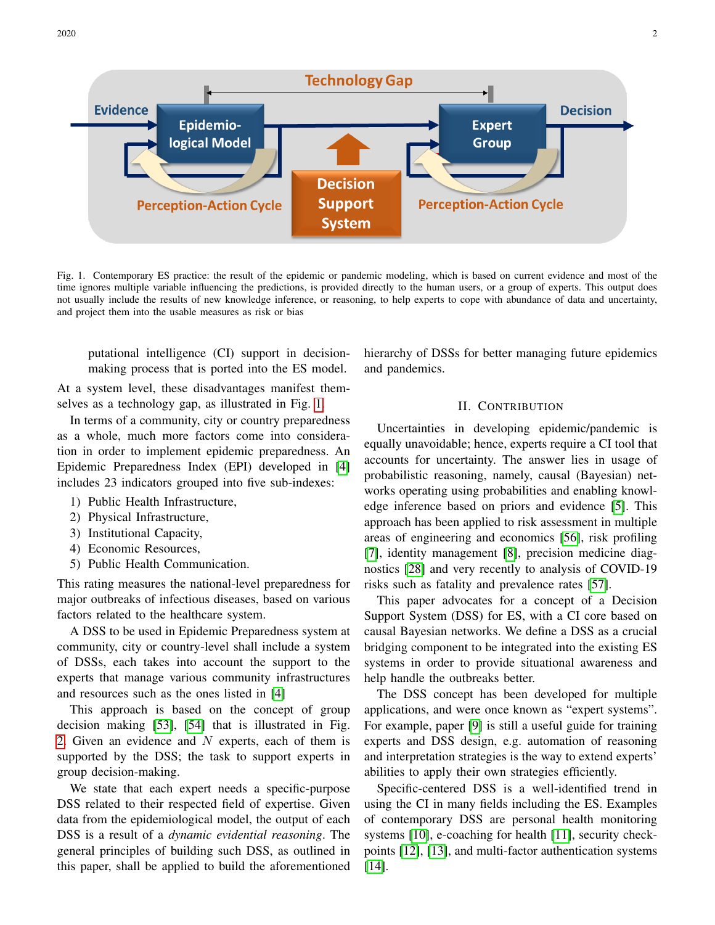2020 2



<span id="page-1-0"></span>Fig. 1. Contemporary ES practice: the result of the epidemic or pandemic modeling, which is based on current evidence and most of the time ignores multiple variable influencing the predictions, is provided directly to the human users, or a group of experts. This output does not usually include the results of new knowledge inference, or reasoning, to help experts to cope with abundance of data and uncertainty, and project them into the usable measures as risk or bias

putational intelligence (CI) support in decisionmaking process that is ported into the ES model.

At a system level, these disadvantages manifest themselves as a technology gap, as illustrated in Fig. [1.](#page-1-0)

In terms of a community, city or country preparedness as a whole, much more factors come into consideration in order to implement epidemic preparedness. An Epidemic Preparedness Index (EPI) developed in [\[4\]](#page-8-3) includes 23 indicators grouped into five sub-indexes:

- 1) Public Health Infrastructure,
- 2) Physical Infrastructure,
- 3) Institutional Capacity,
- 4) Economic Resources,
- 5) Public Health Communication.

This rating measures the national-level preparedness for major outbreaks of infectious diseases, based on various factors related to the healthcare system.

A DSS to be used in Epidemic Preparedness system at community, city or country-level shall include a system of DSSs, each takes into account the support to the experts that manage various community infrastructures and resources such as the ones listed in [\[4\]](#page-8-3)

This approach is based on the concept of group decision making [\[53\]](#page-9-0), [\[54\]](#page-9-1) that is illustrated in Fig. [2.](#page-2-0) Given an evidence and  $N$  experts, each of them is supported by the DSS; the task to support experts in group decision-making.

We state that each expert needs a specific-purpose DSS related to their respected field of expertise. Given data from the epidemiological model, the output of each DSS is a result of a *dynamic evidential reasoning*. The general principles of building such DSS, as outlined in this paper, shall be applied to build the aforementioned hierarchy of DSSs for better managing future epidemics and pandemics.

## II. CONTRIBUTION

Uncertainties in developing epidemic/pandemic is equally unavoidable; hence, experts require a CI tool that accounts for uncertainty. The answer lies in usage of probabilistic reasoning, namely, causal (Bayesian) networks operating using probabilities and enabling knowledge inference based on priors and evidence [\[5\]](#page-8-4). This approach has been applied to risk assessment in multiple areas of engineering and economics [\[56\]](#page-9-2), risk profiling [\[7\]](#page-8-5), identity management [\[8\]](#page-8-6), precision medicine diagnostics [\[28\]](#page-9-3) and very recently to analysis of COVID-19 risks such as fatality and prevalence rates [\[57\]](#page-9-4).

This paper advocates for a concept of a Decision Support System (DSS) for ES, with a CI core based on causal Bayesian networks. We define a DSS as a crucial bridging component to be integrated into the existing ES systems in order to provide situational awareness and help handle the outbreaks better.

The DSS concept has been developed for multiple applications, and were once known as "expert systems". For example, paper [\[9\]](#page-8-7) is still a useful guide for training experts and DSS design, e.g. automation of reasoning and interpretation strategies is the way to extend experts' abilities to apply their own strategies efficiently.

Specific-centered DSS is a well-identified trend in using the CI in many fields including the ES. Examples of contemporary DSS are personal health monitoring systems [\[10\]](#page-8-8), e-coaching for health [\[11\]](#page-8-9), security checkpoints [\[12\]](#page-8-10), [\[13\]](#page-8-11), and multi-factor authentication systems [\[14\]](#page-8-12).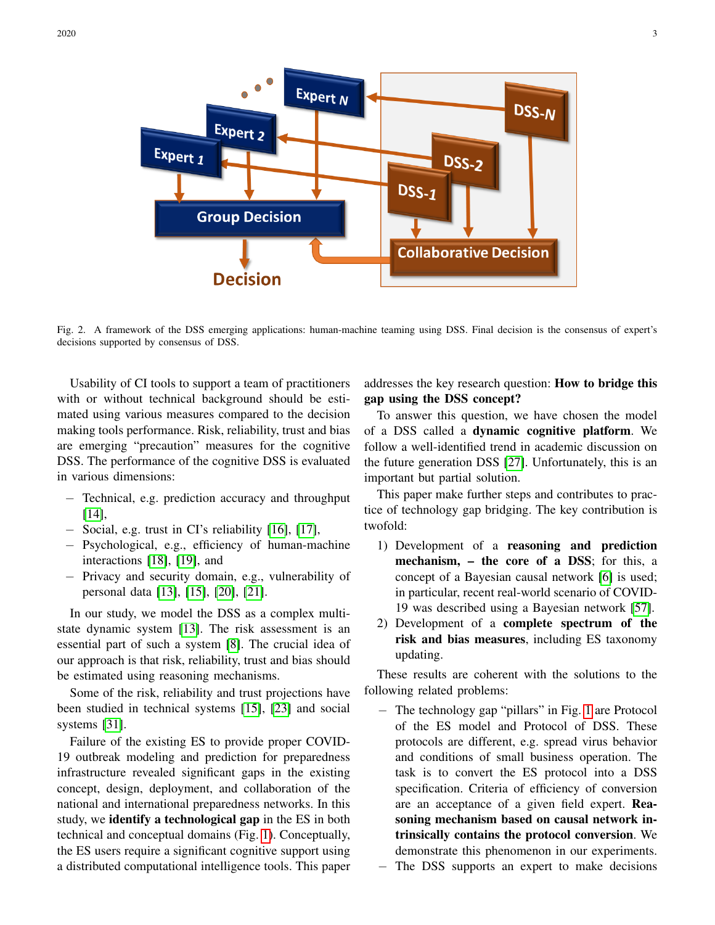

<span id="page-2-0"></span>Fig. 2. A framework of the DSS emerging applications: human-machine teaming using DSS. Final decision is the consensus of expert's decisions supported by consensus of DSS.

Usability of CI tools to support a team of practitioners with or without technical background should be estimated using various measures compared to the decision making tools performance. Risk, reliability, trust and bias are emerging "precaution" measures for the cognitive DSS. The performance of the cognitive DSS is evaluated in various dimensions:

- − Technical, e.g. prediction accuracy and throughput [\[14\]](#page-8-12),
- − Social, e.g. trust in CI's reliability [\[16\]](#page-8-13), [\[17\]](#page-8-14),
- − Psychological, e.g., efficiency of human-machine interactions [\[18\]](#page-8-15), [\[19\]](#page-8-16), and
- − Privacy and security domain, e.g., vulnerability of personal data [\[13\]](#page-8-11), [\[15\]](#page-8-17), [\[20\]](#page-8-18), [\[21\]](#page-8-19).

In our study, we model the DSS as a complex multistate dynamic system [\[13\]](#page-8-11). The risk assessment is an essential part of such a system [\[8\]](#page-8-6). The crucial idea of our approach is that risk, reliability, trust and bias should be estimated using reasoning mechanisms.

Some of the risk, reliability and trust projections have been studied in technical systems [\[15\]](#page-8-17), [\[23\]](#page-8-20) and social systems [\[31\]](#page-9-5).

Failure of the existing ES to provide proper COVID-19 outbreak modeling and prediction for preparedness infrastructure revealed significant gaps in the existing concept, design, deployment, and collaboration of the national and international preparedness networks. In this study, we identify a technological gap in the ES in both technical and conceptual domains (Fig. [1\)](#page-1-0). Conceptually, the ES users require a significant cognitive support using a distributed computational intelligence tools. This paper addresses the key research question: How to bridge this gap using the DSS concept?

To answer this question, we have chosen the model of a DSS called a dynamic cognitive platform. We follow a well-identified trend in academic discussion on the future generation DSS [\[27\]](#page-9-6). Unfortunately, this is an important but partial solution.

This paper make further steps and contributes to practice of technology gap bridging. The key contribution is twofold:

- 1) Development of a reasoning and prediction mechanism, – the core of a DSS; for this, a concept of a Bayesian causal network [\[6\]](#page-8-21) is used; in particular, recent real-world scenario of COVID-19 was described using a Bayesian network [\[57\]](#page-9-4).
- 2) Development of a complete spectrum of the risk and bias measures, including ES taxonomy updating.

These results are coherent with the solutions to the following related problems:

− The technology gap "pillars" in Fig. [1](#page-1-0) are Protocol of the ES model and Protocol of DSS. These protocols are different, e.g. spread virus behavior and conditions of small business operation. The task is to convert the ES protocol into a DSS specification. Criteria of efficiency of conversion are an acceptance of a given field expert. Reasoning mechanism based on causal network intrinsically contains the protocol conversion. We demonstrate this phenomenon in our experiments. − The DSS supports an expert to make decisions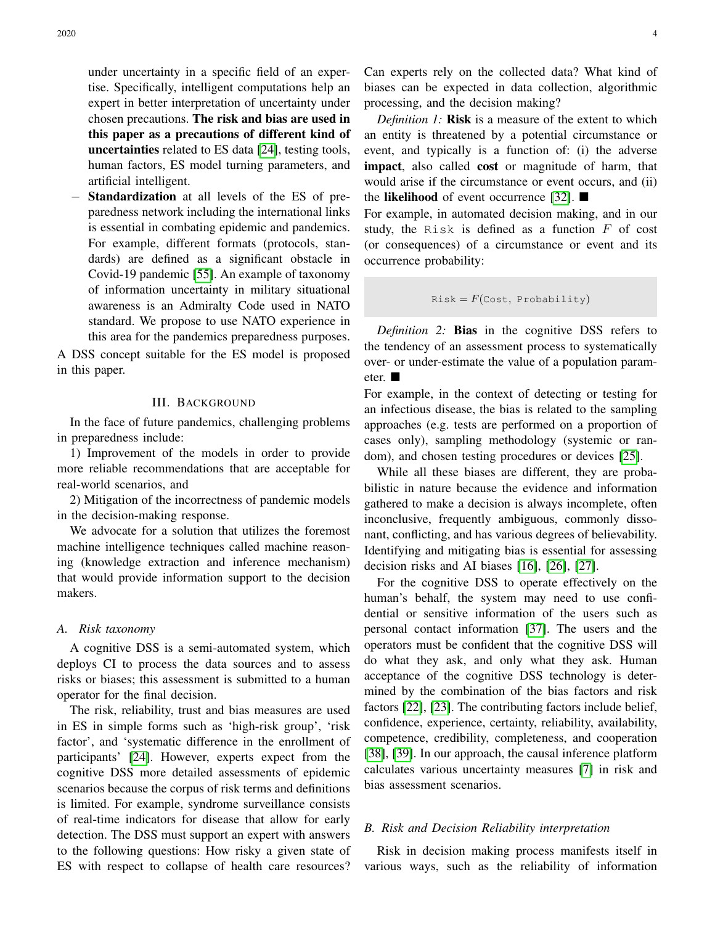under uncertainty in a specific field of an expertise. Specifically, intelligent computations help an expert in better interpretation of uncertainty under chosen precautions. The risk and bias are used in this paper as a precautions of different kind of uncertainties related to ES data [\[24\]](#page-9-7), testing tools, human factors, ES model turning parameters, and artificial intelligent.

Standardization at all levels of the ES of preparedness network including the international links is essential in combating epidemic and pandemics. For example, different formats (protocols, standards) are defined as a significant obstacle in Covid-19 pandemic [\[55\]](#page-9-8). An example of taxonomy of information uncertainty in military situational awareness is an Admiralty Code used in NATO standard. We propose to use NATO experience in this area for the pandemics preparedness purposes.

A DSS concept suitable for the ES model is proposed in this paper.

#### III. BACKGROUND

In the face of future pandemics, challenging problems in preparedness include:

1) Improvement of the models in order to provide more reliable recommendations that are acceptable for real-world scenarios, and

2) Mitigation of the incorrectness of pandemic models in the decision-making response.

We advocate for a solution that utilizes the foremost machine intelligence techniques called machine reasoning (knowledge extraction and inference mechanism) that would provide information support to the decision makers.

#### *A. Risk taxonomy*

A cognitive DSS is a semi-automated system, which deploys CI to process the data sources and to assess risks or biases; this assessment is submitted to a human operator for the final decision.

The risk, reliability, trust and bias measures are used in ES in simple forms such as 'high-risk group', 'risk factor', and 'systematic difference in the enrollment of participants' [\[24\]](#page-9-7). However, experts expect from the cognitive DSS more detailed assessments of epidemic scenarios because the corpus of risk terms and definitions is limited. For example, syndrome surveillance consists of real-time indicators for disease that allow for early detection. The DSS must support an expert with answers to the following questions: How risky a given state of ES with respect to collapse of health care resources?

Can experts rely on the collected data? What kind of biases can be expected in data collection, algorithmic processing, and the decision making?

*Definition 1:* Risk is a measure of the extent to which an entity is threatened by a potential circumstance or event, and typically is a function of: (i) the adverse impact, also called cost or magnitude of harm, that would arise if the circumstance or event occurs, and (ii) the likelihood of event occurrence [\[32\]](#page-9-9).  $\blacksquare$ 

For example, in automated decision making, and in our study, the Risk is defined as a function  $F$  of cost (or consequences) of a circumstance or event and its occurrence probability:

```
Risk = F(Cost, Probability)
```
*Definition 2:* Bias in the cognitive DSS refers to the tendency of an assessment process to systematically over- or under-estimate the value of a population parameter.

For example, in the context of detecting or testing for an infectious disease, the bias is related to the sampling approaches (e.g. tests are performed on a proportion of cases only), sampling methodology (systemic or random), and chosen testing procedures or devices [\[25\]](#page-9-10).

While all these biases are different, they are probabilistic in nature because the evidence and information gathered to make a decision is always incomplete, often inconclusive, frequently ambiguous, commonly dissonant, conflicting, and has various degrees of believability. Identifying and mitigating bias is essential for assessing decision risks and AI biases [\[16\]](#page-8-13), [\[26\]](#page-9-11), [\[27\]](#page-9-6).

For the cognitive DSS to operate effectively on the human's behalf, the system may need to use confidential or sensitive information of the users such as personal contact information [\[37\]](#page-9-12). The users and the operators must be confident that the cognitive DSS will do what they ask, and only what they ask. Human acceptance of the cognitive DSS technology is determined by the combination of the bias factors and risk factors [\[22\]](#page-8-22), [\[23\]](#page-8-20). The contributing factors include belief, confidence, experience, certainty, reliability, availability, competence, credibility, completeness, and cooperation [\[38\]](#page-9-13), [\[39\]](#page-9-14). In our approach, the causal inference platform calculates various uncertainty measures [\[7\]](#page-8-5) in risk and bias assessment scenarios.

## *B. Risk and Decision Reliability interpretation*

Risk in decision making process manifests itself in various ways, such as the reliability of information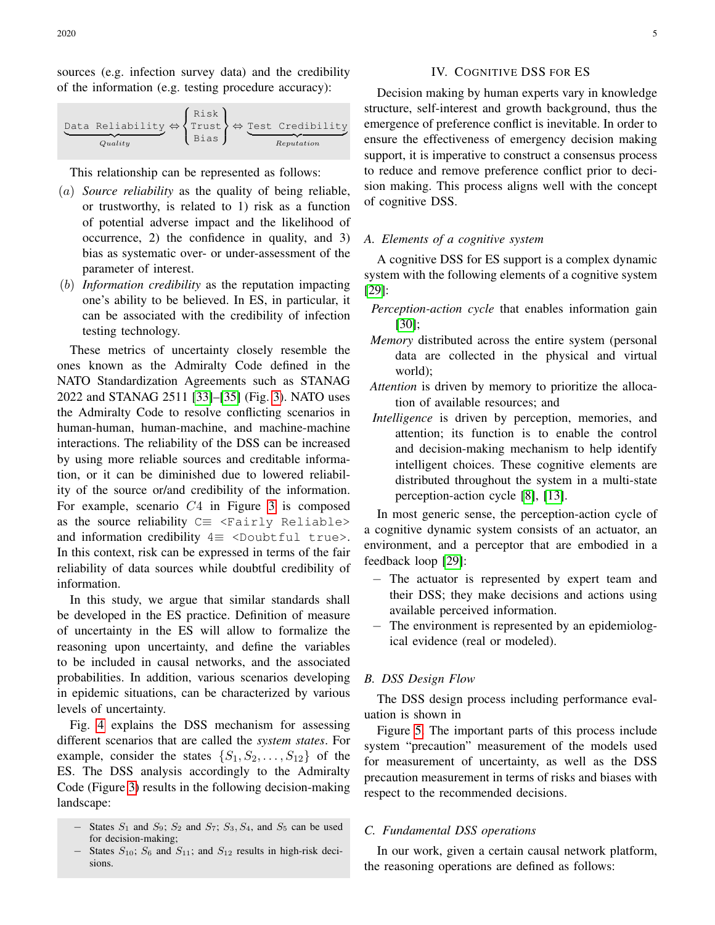|         | (Risk) |                                                                                              |
|---------|--------|----------------------------------------------------------------------------------------------|
| Quality | Bias   | Data Reliability $\Leftrightarrow$ {Trust } $\Leftrightarrow$ Test Credibility<br>Reputation |

This relationship can be represented as follows:

- (a) *Source reliability* as the quality of being reliable, or trustworthy, is related to 1) risk as a function of potential adverse impact and the likelihood of occurrence, 2) the confidence in quality, and 3) bias as systematic over- or under-assessment of the parameter of interest.
- (b) *Information credibility* as the reputation impacting one's ability to be believed. In ES, in particular, it can be associated with the credibility of infection testing technology.

These metrics of uncertainty closely resemble the ones known as the Admiralty Code defined in the NATO Standardization Agreements such as STANAG 2022 and STANAG 2511 [\[33\]](#page-9-15)–[\[35\]](#page-9-16) (Fig. [3\)](#page-5-0). NATO uses the Admiralty Code to resolve conflicting scenarios in human-human, human-machine, and machine-machine interactions. The reliability of the DSS can be increased by using more reliable sources and creditable information, or it can be diminished due to lowered reliability of the source or/and credibility of the information. For example, scenario C4 in Figure [3](#page-5-0) is composed as the source reliability  $C \equiv \langle \text{Fairly Reliable} \rangle$ and information credibility  $4 \equiv$  <Doubtful true>. In this context, risk can be expressed in terms of the fair reliability of data sources while doubtful credibility of information.

In this study, we argue that similar standards shall be developed in the ES practice. Definition of measure of uncertainty in the ES will allow to formalize the reasoning upon uncertainty, and define the variables to be included in causal networks, and the associated probabilities. In addition, various scenarios developing in epidemic situations, can be characterized by various levels of uncertainty.

Fig. [4](#page-5-1) explains the DSS mechanism for assessing different scenarios that are called the *system states*. For example, consider the states  $\{S_1, S_2, \ldots, S_{12}\}\$ of the ES. The DSS analysis accordingly to the Admiralty Code (Figure [3\)](#page-5-0) results in the following decision-making landscape:

- $-$  States  $S_1$  and  $S_9$ ;  $S_2$  and  $S_7$ ;  $S_3$ ,  $S_4$ , and  $S_5$  can be used for decision-making;
- States  $S_{10}$ ;  $S_6$  and  $S_{11}$ ; and  $S_{12}$  results in high-risk decisions.

## IV. COGNITIVE DSS FOR ES

Decision making by human experts vary in knowledge structure, self-interest and growth background, thus the emergence of preference conflict is inevitable. In order to ensure the effectiveness of emergency decision making support, it is imperative to construct a consensus process to reduce and remove preference conflict prior to decision making. This process aligns well with the concept of cognitive DSS.

# *A. Elements of a cognitive system*

A cognitive DSS for ES support is a complex dynamic system with the following elements of a cognitive system [\[29\]](#page-9-17):

- *Perception-action cycle* that enables information gain [\[30\]](#page-9-18);
- *Memory* distributed across the entire system (personal data are collected in the physical and virtual world);
- *Attention* is driven by memory to prioritize the allocation of available resources; and
- *Intelligence* is driven by perception, memories, and attention; its function is to enable the control and decision-making mechanism to help identify intelligent choices. These cognitive elements are distributed throughout the system in a multi-state perception-action cycle [\[8\]](#page-8-6), [\[13\]](#page-8-11).

In most generic sense, the perception-action cycle of a cognitive dynamic system consists of an actuator, an environment, and a perceptor that are embodied in a feedback loop [\[29\]](#page-9-17):

- − The actuator is represented by expert team and their DSS; they make decisions and actions using available perceived information.
- − The environment is represented by an epidemiological evidence (real or modeled).

## *B. DSS Design Flow*

The DSS design process including performance evaluation is shown in

Figure [5.](#page-6-0) The important parts of this process include system "precaution" measurement of the models used for measurement of uncertainty, as well as the DSS precaution measurement in terms of risks and biases with respect to the recommended decisions.

# *C. Fundamental DSS operations*

In our work, given a certain causal network platform, the reasoning operations are defined as follows: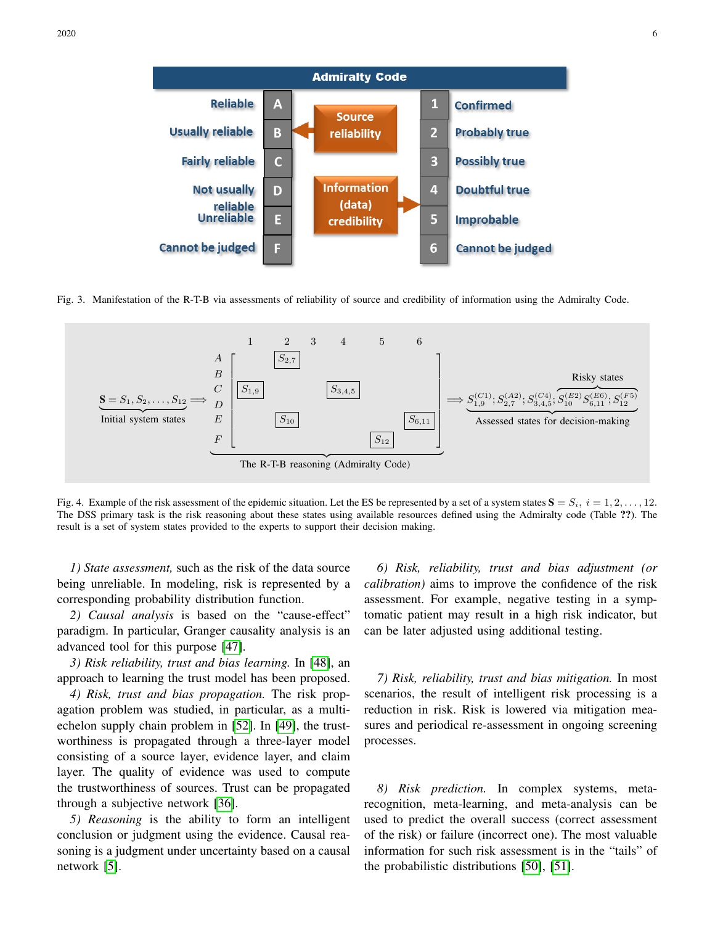

<span id="page-5-0"></span>Fig. 3. Manifestation of the R-T-B via assessments of reliability of source and credibility of information using the Admiralty Code.



<span id="page-5-1"></span>Fig. 4. Example of the risk assessment of the epidemic situation. Let the ES be represented by a set of a system states  $S = S_i$ ,  $i = 1, 2, \ldots, 12$ . The DSS primary task is the risk reasoning about these states using available resources defined using the Admiralty code (Table ??). The result is a set of system states provided to the experts to support their decision making.

*1) State assessment,* such as the risk of the data source being unreliable. In modeling, risk is represented by a corresponding probability distribution function.

*2) Causal analysis* is based on the "cause-effect" paradigm. In particular, Granger causality analysis is an advanced tool for this purpose [\[47\]](#page-9-19).

*3) Risk reliability, trust and bias learning.* In [\[48\]](#page-9-20), an approach to learning the trust model has been proposed.

*4) Risk, trust and bias propagation.* The risk propagation problem was studied, in particular, as a multiechelon supply chain problem in [\[52\]](#page-9-21). In [\[49\]](#page-9-22), the trustworthiness is propagated through a three-layer model consisting of a source layer, evidence layer, and claim layer. The quality of evidence was used to compute the trustworthiness of sources. Trust can be propagated through a subjective network [\[36\]](#page-9-23).

*5) Reasoning* is the ability to form an intelligent conclusion or judgment using the evidence. Causal reasoning is a judgment under uncertainty based on a causal network [\[5\]](#page-8-4).

*6) Risk, reliability, trust and bias adjustment (or calibration)* aims to improve the confidence of the risk assessment. For example, negative testing in a symptomatic patient may result in a high risk indicator, but can be later adjusted using additional testing.

*7) Risk, reliability, trust and bias mitigation.* In most scenarios, the result of intelligent risk processing is a reduction in risk. Risk is lowered via mitigation measures and periodical re-assessment in ongoing screening processes.

*8) Risk prediction.* In complex systems, metarecognition, meta-learning, and meta-analysis can be used to predict the overall success (correct assessment of the risk) or failure (incorrect one). The most valuable information for such risk assessment is in the "tails" of the probabilistic distributions [\[50\]](#page-9-24), [\[51\]](#page-9-25).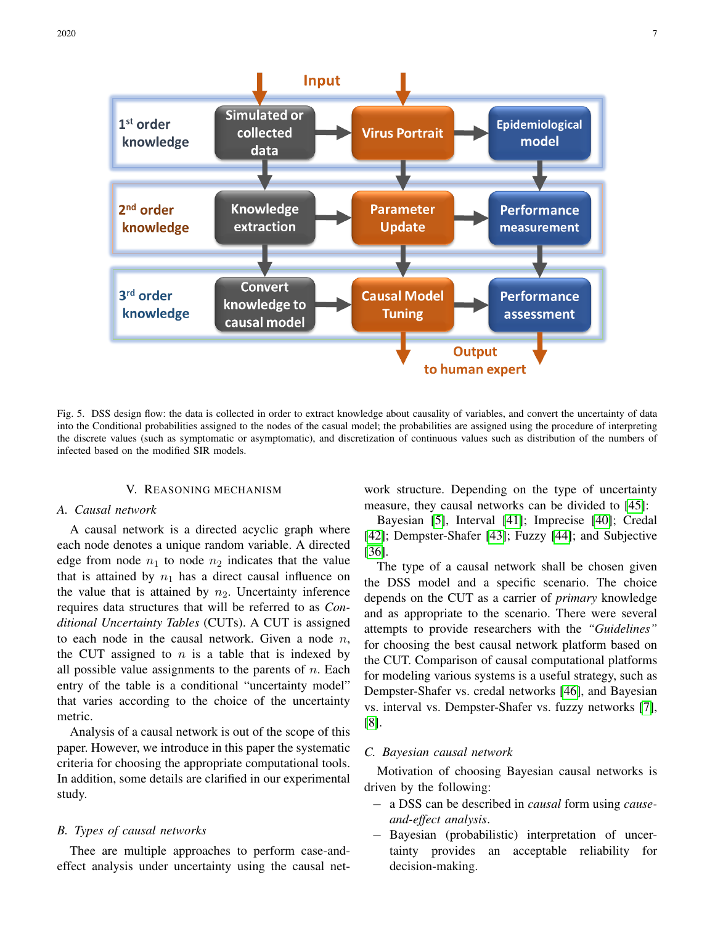

<span id="page-6-0"></span>Fig. 5. DSS design flow: the data is collected in order to extract knowledge about causality of variables, and convert the uncertainty of data into the Conditional probabilities assigned to the nodes of the casual model; the probabilities are assigned using the procedure of interpreting the discrete values (such as symptomatic or asymptomatic), and discretization of continuous values such as distribution of the numbers of infected based on the modified SIR models.

## V. REASONING MECHANISM

## *A. Causal network*

A causal network is a directed acyclic graph where each node denotes a unique random variable. A directed edge from node  $n_1$  to node  $n_2$  indicates that the value that is attained by  $n_1$  has a direct causal influence on the value that is attained by  $n_2$ . Uncertainty inference requires data structures that will be referred to as *Conditional Uncertainty Tables* (CUTs). A CUT is assigned to each node in the causal network. Given a node  $n$ , the CUT assigned to  $n$  is a table that is indexed by all possible value assignments to the parents of  $n$ . Each entry of the table is a conditional "uncertainty model" that varies according to the choice of the uncertainty metric.

Analysis of a causal network is out of the scope of this paper. However, we introduce in this paper the systematic criteria for choosing the appropriate computational tools. In addition, some details are clarified in our experimental study.

## *B. Types of causal networks*

Thee are multiple approaches to perform case-andeffect analysis under uncertainty using the causal network structure. Depending on the type of uncertainty measure, they causal networks can be divided to [\[45\]](#page-9-26):

Bayesian [\[5\]](#page-8-4), Interval [\[41\]](#page-9-27); Imprecise [\[40\]](#page-9-28); Credal [\[42\]](#page-9-29); Dempster-Shafer [\[43\]](#page-9-30); Fuzzy [\[44\]](#page-9-31); and Subjective [\[36\]](#page-9-23).

The type of a causal network shall be chosen given the DSS model and a specific scenario. The choice depends on the CUT as a carrier of *primary* knowledge and as appropriate to the scenario. There were several attempts to provide researchers with the *"Guidelines"* for choosing the best causal network platform based on the CUT. Comparison of causal computational platforms for modeling various systems is a useful strategy, such as Dempster-Shafer vs. credal networks [\[46\]](#page-9-32), and Bayesian vs. interval vs. Dempster-Shafer vs. fuzzy networks [\[7\]](#page-8-5), [\[8\]](#page-8-6).

## *C. Bayesian causal network*

Motivation of choosing Bayesian causal networks is driven by the following:

- − a DSS can be described in *causal* form using *causeand-effect analysis*.
- − Bayesian (probabilistic) interpretation of uncertainty provides an acceptable reliability for decision-making.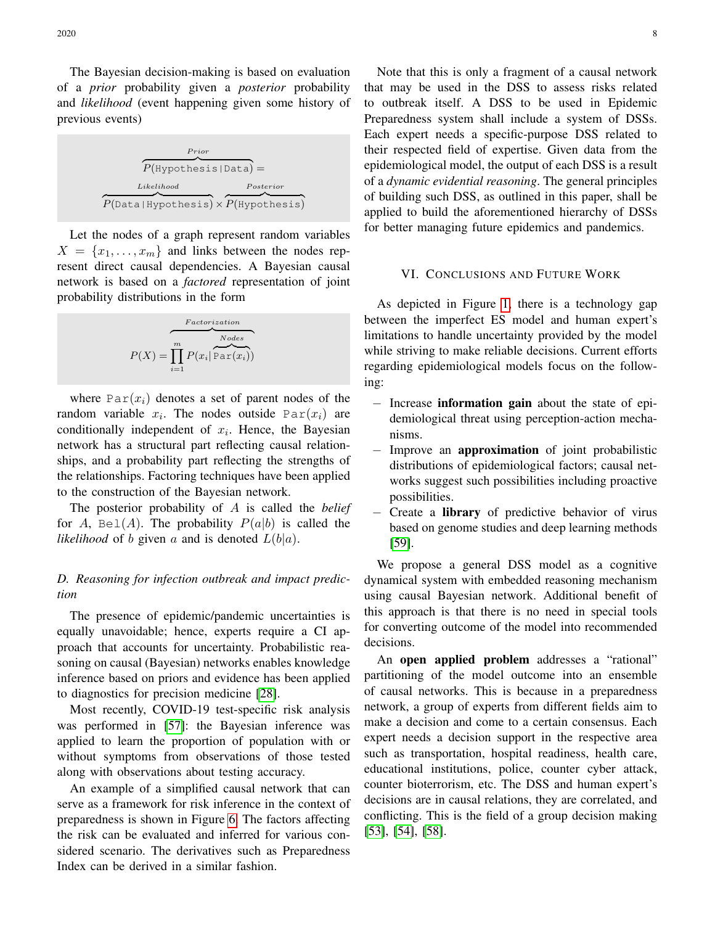The Bayesian decision-making is based on evaluation of a *prior* probability given a *posterior* probability and *likelihood* (event happening given some history of previous events)

| Prior<br>$P(Hypothesis Data) =$                                                |           |  |
|--------------------------------------------------------------------------------|-----------|--|
| Likelihood<br>$P(\text{Data}   \text{Hypothesis}) \times P(\text{Hypothesis})$ | Posterior |  |

Let the nodes of a graph represent random variables  $X = \{x_1, \ldots, x_m\}$  and links between the nodes represent direct causal dependencies. A Bayesian causal network is based on a *factored* representation of joint probability distributions in the form

$$
P(X) = \prod_{i=1}^{m} P(x_i | \overbrace{\text{Par}(x_i)}^{\text{Nodes}})
$$

where  $Par(x_i)$  denotes a set of parent nodes of the random variable  $x_i$ . The nodes outside  $\text{Par}(x_i)$  are conditionally independent of  $x_i$ . Hence, the Bayesian network has a structural part reflecting causal relationships, and a probability part reflecting the strengths of the relationships. Factoring techniques have been applied to the construction of the Bayesian network.

The posterior probability of A is called the *belief* for A,  $Bel(A)$ . The probability  $P(a|b)$  is called the *likelihood* of b given a and is denoted  $L(b|a)$ .

# *D. Reasoning for infection outbreak and impact prediction*

The presence of epidemic/pandemic uncertainties is equally unavoidable; hence, experts require a CI approach that accounts for uncertainty. Probabilistic reasoning on causal (Bayesian) networks enables knowledge inference based on priors and evidence has been applied to diagnostics for precision medicine [\[28\]](#page-9-3).

Most recently, COVID-19 test-specific risk analysis was performed in [\[57\]](#page-9-4): the Bayesian inference was applied to learn the proportion of population with or without symptoms from observations of those tested along with observations about testing accuracy.

An example of a simplified causal network that can serve as a framework for risk inference in the context of preparedness is shown in Figure [6.](#page-8-23) The factors affecting the risk can be evaluated and inferred for various considered scenario. The derivatives such as Preparedness Index can be derived in a similar fashion.

Note that this is only a fragment of a causal network that may be used in the DSS to assess risks related to outbreak itself. A DSS to be used in Epidemic Preparedness system shall include a system of DSSs. Each expert needs a specific-purpose DSS related to their respected field of expertise. Given data from the epidemiological model, the output of each DSS is a result of a *dynamic evidential reasoning*. The general principles of building such DSS, as outlined in this paper, shall be applied to build the aforementioned hierarchy of DSSs for better managing future epidemics and pandemics.

#### VI. CONCLUSIONS AND FUTURE WORK

As depicted in Figure [1,](#page-1-0) there is a technology gap between the imperfect ES model and human expert's limitations to handle uncertainty provided by the model while striving to make reliable decisions. Current efforts regarding epidemiological models focus on the following:

- − Increase information gain about the state of epidemiological threat using perception-action mechanisms.
- − Improve an approximation of joint probabilistic distributions of epidemiological factors; causal networks suggest such possibilities including proactive possibilities.
- Create a library of predictive behavior of virus based on genome studies and deep learning methods [\[59\]](#page-9-33).

We propose a general DSS model as a cognitive dynamical system with embedded reasoning mechanism using causal Bayesian network. Additional benefit of this approach is that there is no need in special tools for converting outcome of the model into recommended decisions.

An open applied problem addresses a "rational" partitioning of the model outcome into an ensemble of causal networks. This is because in a preparedness network, a group of experts from different fields aim to make a decision and come to a certain consensus. Each expert needs a decision support in the respective area such as transportation, hospital readiness, health care, educational institutions, police, counter cyber attack, counter bioterrorism, etc. The DSS and human expert's decisions are in causal relations, they are correlated, and conflicting. This is the field of a group decision making [\[53\]](#page-9-0), [\[54\]](#page-9-1), [\[58\]](#page-9-34).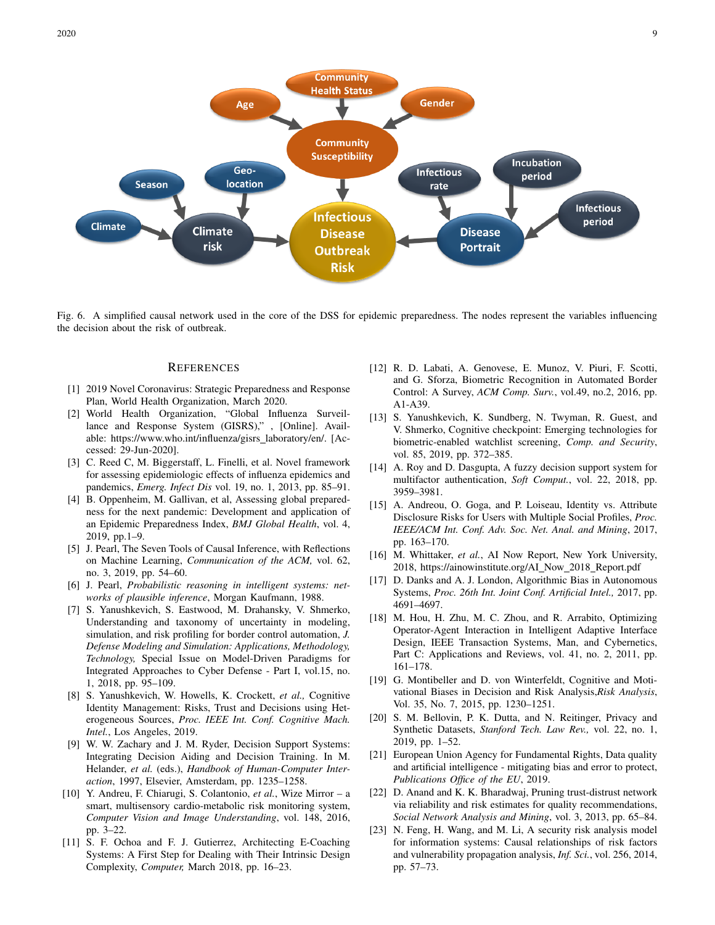

<span id="page-8-23"></span>Fig. 6. A simplified causal network used in the core of the DSS for epidemic preparedness. The nodes represent the variables influencing the decision about the risk of outbreak.

#### **REFERENCES**

- <span id="page-8-0"></span>[1] 2019 Novel Coronavirus: Strategic Preparedness and Response Plan, World Health Organization, March 2020.
- <span id="page-8-1"></span>[2] World Health Organization, "Global Influenza Surveillance and Response System (GISRS)," , [Online]. Available: https://www.who.int/influenza/gisrs laboratory/en/. [Accessed: 29-Jun-2020].
- <span id="page-8-2"></span>[3] C. Reed C, M. Biggerstaff, L. Finelli, et al. Novel framework for assessing epidemiologic effects of influenza epidemics and pandemics, *Emerg. Infect Dis* vol. 19, no. 1, 2013, pp. 85–91.
- <span id="page-8-3"></span>[4] B. Oppenheim, M. Gallivan, et al, Assessing global preparedness for the next pandemic: Development and application of an Epidemic Preparedness Index, *BMJ Global Health*, vol. 4, 2019, pp.1–9.
- <span id="page-8-4"></span>[5] J. Pearl, The Seven Tools of Causal Inference, with Reflections on Machine Learning, *Communication of the ACM,* vol. 62, no. 3, 2019, pp. 54–60.
- <span id="page-8-21"></span>[6] J. Pearl, *Probabilistic reasoning in intelligent systems: networks of plausible inference*, Morgan Kaufmann, 1988.
- <span id="page-8-5"></span>[7] S. Yanushkevich, S. Eastwood, M. Drahansky, V. Shmerko, Understanding and taxonomy of uncertainty in modeling, simulation, and risk profiling for border control automation, *J. Defense Modeling and Simulation: Applications, Methodology, Technology,* Special Issue on Model-Driven Paradigms for Integrated Approaches to Cyber Defense - Part I, vol.15, no. 1, 2018, pp. 95–109.
- <span id="page-8-6"></span>[8] S. Yanushkevich, W. Howells, K. Crockett, *et al.,* Cognitive Identity Management: Risks, Trust and Decisions using Heterogeneous Sources, *Proc. IEEE Int. Conf. Cognitive Mach. Intel.*, Los Angeles, 2019.
- <span id="page-8-7"></span>[9] W. W. Zachary and J. M. Ryder, Decision Support Systems: Integrating Decision Aiding and Decision Training. In M. Helander, *et al.* (eds.), *Handbook of Human-Computer Interaction*, 1997, Elsevier, Amsterdam, pp. 1235–1258.
- <span id="page-8-8"></span>[10] Y. Andreu, F. Chiarugi, S. Colantonio, *et al.*, Wize Mirror – a smart, multisensory cardio-metabolic risk monitoring system, *Computer Vision and Image Understanding*, vol. 148, 2016, pp. 3–22.
- <span id="page-8-9"></span>[11] S. F. Ochoa and F. J. Gutierrez, Architecting E-Coaching Systems: A First Step for Dealing with Their Intrinsic Design Complexity, *Computer,* March 2018, pp. 16–23.
- <span id="page-8-10"></span>[12] R. D. Labati, A. Genovese, E. Munoz, V. Piuri, F. Scotti, and G. Sforza, Biometric Recognition in Automated Border Control: A Survey, *ACM Comp. Surv.*, vol.49, no.2, 2016, pp. A1-A39.
- <span id="page-8-11"></span>[13] S. Yanushkevich, K. Sundberg, N. Twyman, R. Guest, and V. Shmerko, Cognitive checkpoint: Emerging technologies for biometric-enabled watchlist screening, *Comp. and Security*, vol. 85, 2019, pp. 372–385.
- <span id="page-8-12"></span>[14] A. Roy and D. Dasgupta, A fuzzy decision support system for multifactor authentication, *Soft Comput.*, vol. 22, 2018, pp. 3959–3981.
- <span id="page-8-17"></span>[15] A. Andreou, O. Goga, and P. Loiseau, Identity vs. Attribute Disclosure Risks for Users with Multiple Social Profiles, *Proc. IEEE/ACM Int. Conf. Adv. Soc. Net. Anal. and Mining*, 2017, pp. 163–170.
- <span id="page-8-13"></span>[16] M. Whittaker, *et al.*, AI Now Report, New York University, 2018, https://ainowinstitute.org/AI Now 2018 Report.pdf
- <span id="page-8-14"></span>[17] D. Danks and A. J. London, Algorithmic Bias in Autonomous Systems, *Proc. 26th Int. Joint Conf. Artificial Intel.,* 2017, pp. 4691–4697.
- <span id="page-8-15"></span>[18] M. Hou, H. Zhu, M. C. Zhou, and R. Arrabito, Optimizing Operator-Agent Interaction in Intelligent Adaptive Interface Design, IEEE Transaction Systems, Man, and Cybernetics, Part C: Applications and Reviews, vol. 41, no. 2, 2011, pp. 161–178.
- <span id="page-8-16"></span>[19] G. Montibeller and D. von Winterfeldt, Cognitive and Motivational Biases in Decision and Risk Analysis,*Risk Analysis*, Vol. 35, No. 7, 2015, pp. 1230–1251.
- <span id="page-8-18"></span>[20] S. M. Bellovin, P. K. Dutta, and N. Reitinger, Privacy and Synthetic Datasets, *Stanford Tech. Law Rev.,* vol. 22, no. 1, 2019, pp. 1–52.
- <span id="page-8-19"></span>[21] European Union Agency for Fundamental Rights, Data quality and artificial intelligence - mitigating bias and error to protect, *Publications Office of the EU*, 2019.
- <span id="page-8-22"></span>[22] D. Anand and K. K. Bharadwaj, Pruning trust-distrust network via reliability and risk estimates for quality recommendations, *Social Network Analysis and Mining*, vol. 3, 2013, pp. 65–84.
- <span id="page-8-20"></span>[23] N. Feng, H. Wang, and M. Li, A security risk analysis model for information systems: Causal relationships of risk factors and vulnerability propagation analysis, *Inf. Sci.*, vol. 256, 2014, pp. 57–73.